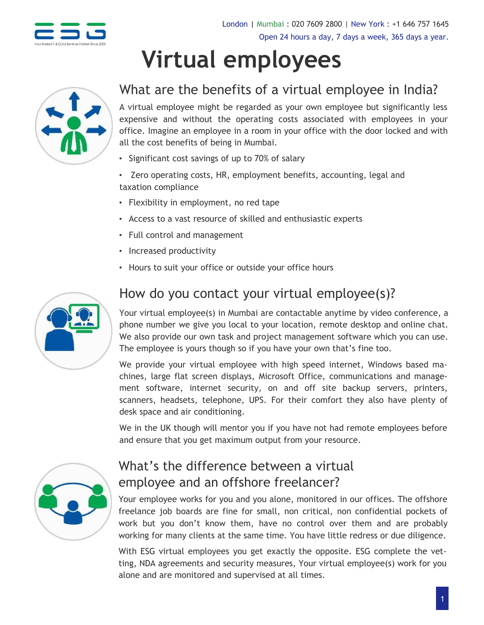

# **Virtual employees**



## What are the benefits of a virtual employee in India?

A virtual employee might be regarded as your own employee but significantly less expensive and without the operating costs associated with employees in your office. Imagine an employee in a room in your office with the door locked and with all the cost benefits of being in Mumbai.

- Significant cost savings of up to 70% of salary
- Zero operating costs, HR, employment benefits, accounting, legal and taxation compliance
- Flexibility in employment, no red tape
- Access to a vast resource of skilled and enthusiastic experts
- Full control and management
- Increased productivity
- Hours to suit your office or outside your office hours



### How do you contact your virtual employee(s)?

Your virtual employee(s) in Mumbai are contactable anytime by video conference, a phone number we give you local to your location, remote desktop and online chat. We also provide our own task and project management software which you can use. The employee is yours though so if you have your own that's fine too.

We provide your virtual employee with high speed internet, Windows based machines, large flat screen displays, Microsoft Office, communications and management software, internet security, on and off site backup servers, printers, scanners, headsets, telephone, UPS. For their comfort they also have plenty of desk space and air conditioning.

We in the UK though will mentor you if you have not had remote employees before and ensure that you get maximum output from your resource.



## What's the difference between a virtual employee and an offshore freelancer?

Your employee works for you and you alone, monitored in our offices. The offshore freelance job boards are fine for small, non critical, non confidential pockets of work but you don't know them, have no control over them and are probably working for many clients at the same time. You have little redress or due diligence.

With ESG virtual employees you get exactly the opposite. ESG complete the vetting, NDA agreements and security measures, Your virtual employee(s) work for you alone and are monitored and supervised at all times.